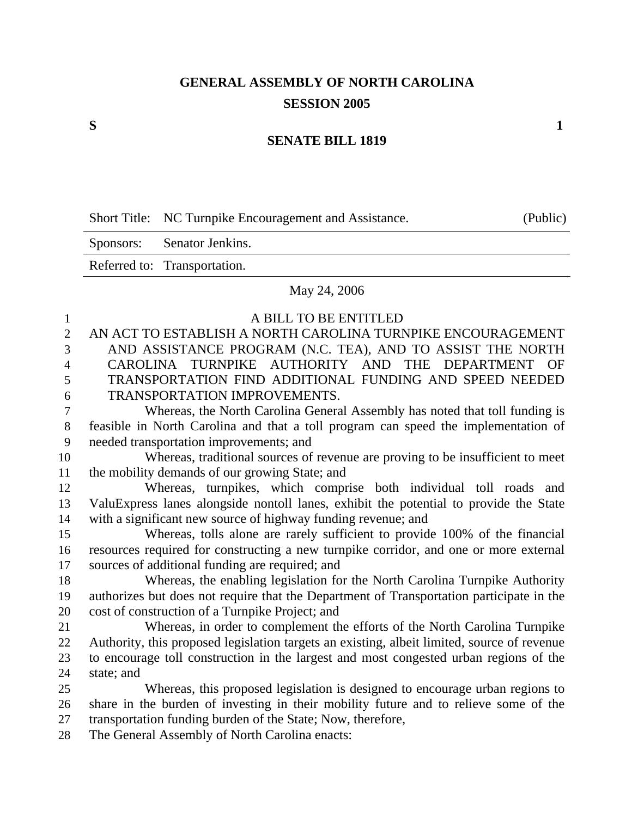# **GENERAL ASSEMBLY OF NORTH CAROLINA SESSION 2005**

#### **SENATE BILL 1819**

|  | Short Title: NC Turnpike Encouragement and Assistance. | (Public) |
|--|--------------------------------------------------------|----------|
|--|--------------------------------------------------------|----------|

Sponsors: Senator Jenkins. Referred to: Transportation.

#### May 24, 2006

| 1                | A BILL TO BE ENTITLED                                                                       |
|------------------|---------------------------------------------------------------------------------------------|
| $\overline{2}$   | AN ACT TO ESTABLISH A NORTH CAROLINA TURNPIKE ENCOURAGEMENT                                 |
| 3                | AND ASSISTANCE PROGRAM (N.C. TEA), AND TO ASSIST THE NORTH                                  |
| $\overline{4}$   | CAROLINA TURNPIKE AUTHORITY AND THE DEPARTMENT OF                                           |
| 5                | TRANSPORTATION FIND ADDITIONAL FUNDING AND SPEED NEEDED                                     |
| 6                | <b>TRANSPORTATION IMPROVEMENTS.</b>                                                         |
| $\boldsymbol{7}$ | Whereas, the North Carolina General Assembly has noted that toll funding is                 |
| $8\,$            | feasible in North Carolina and that a toll program can speed the implementation of          |
| 9                | needed transportation improvements; and                                                     |
| 10               | Whereas, traditional sources of revenue are proving to be insufficient to meet              |
| 11               | the mobility demands of our growing State; and                                              |
| 12               | Whereas, turnpikes, which comprise both individual toll roads and                           |
| 13               | ValuExpress lanes alongside nontoll lanes, exhibit the potential to provide the State       |
| 14               | with a significant new source of highway funding revenue; and                               |
| 15               | Whereas, tolls alone are rarely sufficient to provide 100% of the financial                 |
| 16               | resources required for constructing a new turnpike corridor, and one or more external       |
| 17               | sources of additional funding are required; and                                             |
| 18               | Whereas, the enabling legislation for the North Carolina Turnpike Authority                 |
| 19               | authorizes but does not require that the Department of Transportation participate in the    |
| 20               | cost of construction of a Turnpike Project; and                                             |
| 21               | Whereas, in order to complement the efforts of the North Carolina Turnpike                  |
| 22               | Authority, this proposed legislation targets an existing, albeit limited, source of revenue |
| 23               | to encourage toll construction in the largest and most congested urban regions of the       |
| 24               | state; and                                                                                  |
| 25               | Whereas, this proposed legislation is designed to encourage urban regions to                |
| 26               | share in the burden of investing in their mobility future and to relieve some of the        |
| 27               | transportation funding burden of the State; Now, therefore,                                 |
| ററ               |                                                                                             |

28 The General Assembly of North Carolina enacts: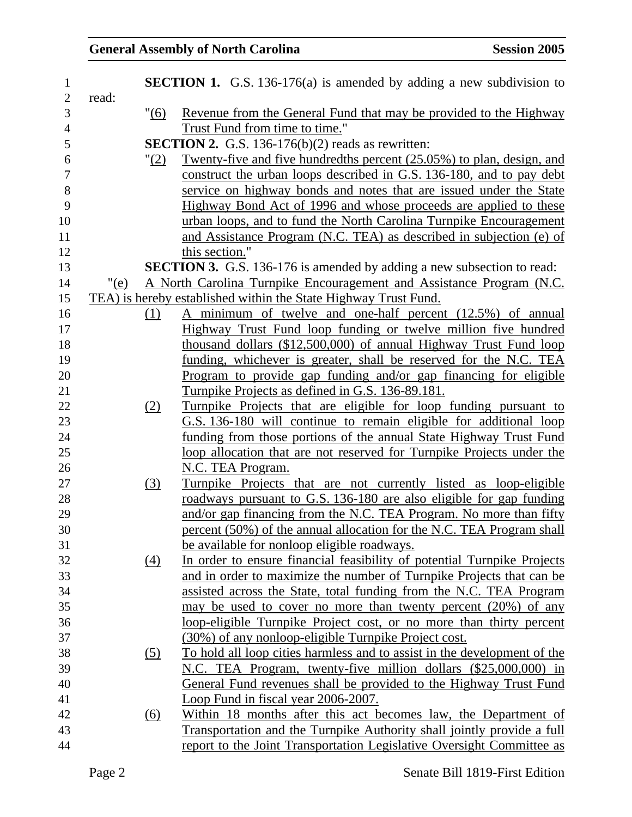## General Assembly of North Carolina **Session 2005**

| $\mathbf{1}$     |              | <b>SECTION 1.</b> G.S. 136-176(a) is amended by adding a new subdivision to   |
|------------------|--------------|-------------------------------------------------------------------------------|
| $\mathbf{2}$     | read:        |                                                                               |
| 3                | "(6)         | Revenue from the General Fund that may be provided to the Highway             |
| $\overline{4}$   |              | Trust Fund from time to time."                                                |
| 5                |              | <b>SECTION 2.</b> G.S. 136-176(b) $(2)$ reads as rewritten:                   |
| 6                | " <u>(2)</u> | Twenty-five and five hundredths percent (25.05%) to plan, design, and         |
| $\boldsymbol{7}$ |              | construct the urban loops described in G.S. 136-180, and to pay debt          |
| $8\,$            |              | service on highway bonds and notes that are issued under the State            |
| 9                |              | Highway Bond Act of 1996 and whose proceeds are applied to these              |
| 10               |              | urban loops, and to fund the North Carolina Turnpike Encouragement            |
| 11               |              | and Assistance Program (N.C. TEA) as described in subjection (e) of           |
| 12               |              | this section."                                                                |
| 13               |              | <b>SECTION 3.</b> G.S. 136-176 is amended by adding a new subsection to read: |
| 14               | " $(e)$      | A North Carolina Turnpike Encouragement and Assistance Program (N.C.          |
| 15               |              | TEA) is hereby established within the State Highway Trust Fund.               |
| 16               | (1)          | A minimum of twelve and one-half percent (12.5%) of annual                    |
| 17               |              | Highway Trust Fund loop funding or twelve million five hundred                |
| 18               |              | thousand dollars (\$12,500,000) of annual Highway Trust Fund loop             |
| 19               |              | funding, whichever is greater, shall be reserved for the N.C. TEA             |
| 20               |              | Program to provide gap funding and/or gap financing for eligible              |
| 21               |              | Turnpike Projects as defined in G.S. 136-89.181.                              |
| 22               | (2)          | <u>Turnpike Projects that are eligible for loop funding pursuant to</u>       |
| 23               |              | G.S. 136-180 will continue to remain eligible for additional loop             |
| 24               |              | funding from those portions of the annual State Highway Trust Fund            |
| 25               |              | loop allocation that are not reserved for Turnpike Projects under the         |
| 26               |              | N.C. TEA Program.                                                             |
| $27\,$           | (3)          | Turnpike Projects that are not currently listed as loop-eligible              |
| 28               |              | roadways pursuant to G.S. 136-180 are also eligible for gap funding           |
| 29               |              | and/or gap financing from the N.C. TEA Program. No more than fifty            |
| 30               |              | percent (50%) of the annual allocation for the N.C. TEA Program shall         |
| 31               |              | be available for nonloop eligible roadways.                                   |
| 32               | (4)          | In order to ensure financial feasibility of potential Turnpike Projects       |
| 33               |              | and in order to maximize the number of Turnpike Projects that can be          |
| 34               |              | assisted across the State, total funding from the N.C. TEA Program            |
| 35               |              | may be used to cover no more than twenty percent $(20%)$ of any               |
| 36               |              | loop-eligible Turnpike Project cost, or no more than thirty percent           |
| 37               |              | (30%) of any nonloop-eligible Turnpike Project cost.                          |
| 38               | (5)          | To hold all loop cities harmless and to assist in the development of the      |
| 39               |              | N.C. TEA Program, twenty-five million dollars (\$25,000,000) in               |
| 40               |              | General Fund revenues shall be provided to the Highway Trust Fund             |
| 41               |              | Loop Fund in fiscal year 2006-2007.                                           |
| 42               | (6)          | Within 18 months after this act becomes law, the Department of                |
| 43               |              | Transportation and the Turnpike Authority shall jointly provide a full        |
| 44               |              | report to the Joint Transportation Legislative Oversight Committee as         |